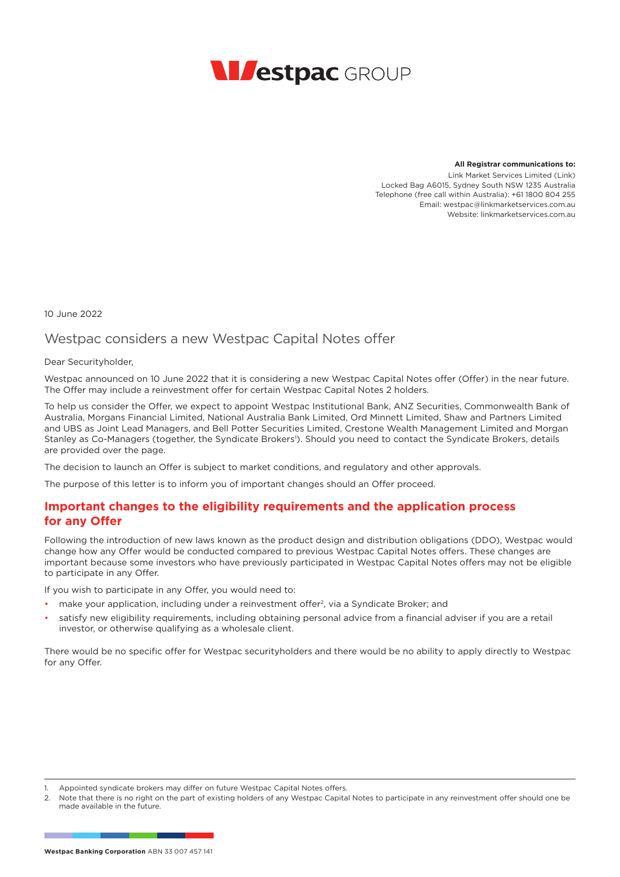

**All Registrar communications to:**

Link Market Services Limited (Link) Locked Bag A6015, Sydney South NSW 1235 Australia Telephone (free call within Australia): +61 1800 804 255 Email: westpac@linkmarketservices.com.au Website: linkmarketservices.com.au.

10 June 2022

# Westpac considers a new Westpac Capital Notes offer

#### Dear Securityholder,

Westpac announced on 10 June 2022 that it is considering a new Westpac Capital Notes offer (Offer) in the near future. The Offer may include a reinvestment offer for certain Westpac Capital Notes 2 holders.

To help us consider the Offer, we expect to appoint Westpac Institutional Bank, ANZ Securities, Commonwealth Bank of Australia, Morgans Financial Limited, National Australia Bank Limited, Ord Minnett Limited, Shaw and Partners Limited and UBS as Joint Lead Managers, and Bell Potter Securities Limited, Crestone Wealth Management Limited and Morgan Stanley as Co-Managers (together, the Syndicate Brokers<sup>1</sup>). Should you need to contact the Syndicate Brokers, details are provided over the page.

The decision to launch an Offer is subject to market conditions, and regulatory and other approvals.

The purpose of this letter is to inform you of important changes should an Offer proceed.

## **Important changes to the eligibility requirements and the application process for any Offer**

Following the introduction of new laws known as the product design and distribution obligations (DDO), Westpac would change how any Offer would be conducted compared to previous Westpac Capital Notes offers. These changes are important because some investors who have previously participated in Westpac Capital Notes offers may not be eligible to participate in any Offer.

If you wish to participate in any Offer, you would need to:

- make your application, including under a reinvestment offer2, via a Syndicate Broker; and
- satisfy new eligibility requirements, including obtaining personal advice from a financial adviser if you are a retail investor, or otherwise qualifying as a wholesale client.

There would be no specific offer for Westpac securityholders and there would be no ability to apply directly to Westpac for any Offer.

Appointed syndicate brokers may differ on future Westpac Capital Notes offers.

<sup>2.</sup> Note that there is no right on the part of existing holders of any Westpac Capital Notes to participate in any reinvestment offer should one be made available in the future.